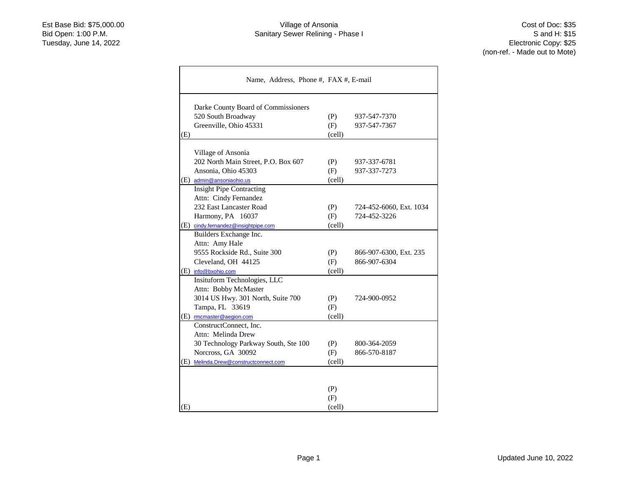$\mathbf{r}$ 

 $\overline{\phantom{0}}$ 

| Name, Address, Phone #, FAX #, E-mail |        |                         |  |  |
|---------------------------------------|--------|-------------------------|--|--|
| Darke County Board of Commissioners   |        |                         |  |  |
| 520 South Broadway                    | (P)    | 937-547-7370            |  |  |
| Greenville, Ohio 45331                | (F)    | 937-547-7367            |  |  |
| (E)                                   | (cell) |                         |  |  |
|                                       |        |                         |  |  |
| Village of Ansonia                    |        |                         |  |  |
| 202 North Main Street, P.O. Box 607   | (P)    | 937-337-6781            |  |  |
| Ansonia, Ohio 45303                   | (F)    | 937-337-7273            |  |  |
| (E) admin@ansoniaohio.us              | (cell) |                         |  |  |
| <b>Insight Pipe Contracting</b>       |        |                         |  |  |
| Attn: Cindy Fernandez                 |        |                         |  |  |
| 232 East Lancaster Road               | (P)    | 724-452-6060, Ext. 1034 |  |  |
| Harmony, PA 16037                     | (F)    | 724-452-3226            |  |  |
| (E) cindy.fernandez@insightpipe.com   | (cell) |                         |  |  |
| Builders Exchange Inc.                |        |                         |  |  |
| Attn: Amy Hale                        |        |                         |  |  |
| 9555 Rockside Rd., Suite 300          | (P)    | 866-907-6300, Ext. 235  |  |  |
| Cleveland, OH 44125                   | (F)    | 866-907-6304            |  |  |
| (E) <u>info@bxohio.com</u>            | (cell) |                         |  |  |
| Insituform Technologies, LLC          |        |                         |  |  |
| Attn: Bobby McMaster                  |        |                         |  |  |
| 3014 US Hwy. 301 North, Suite 700     | (P)    | 724-900-0952            |  |  |
| Tampa, FL 33619                       | (F)    |                         |  |  |
| (E) mcmaster@aegion.com               | (cell) |                         |  |  |
| ConstructConnect, Inc.                |        |                         |  |  |
| Attn: Melinda Drew                    |        |                         |  |  |
| 30 Technology Parkway South, Ste 100  | (P)    | 800-364-2059            |  |  |
| Norcross, GA 30092                    | (F)    | 866-570-8187            |  |  |
| (E) Melinda.Drew@constructconnect.com | (cell) |                         |  |  |
|                                       |        |                         |  |  |
|                                       | (P)    |                         |  |  |
|                                       | (F)    |                         |  |  |
| (E)                                   | (cell) |                         |  |  |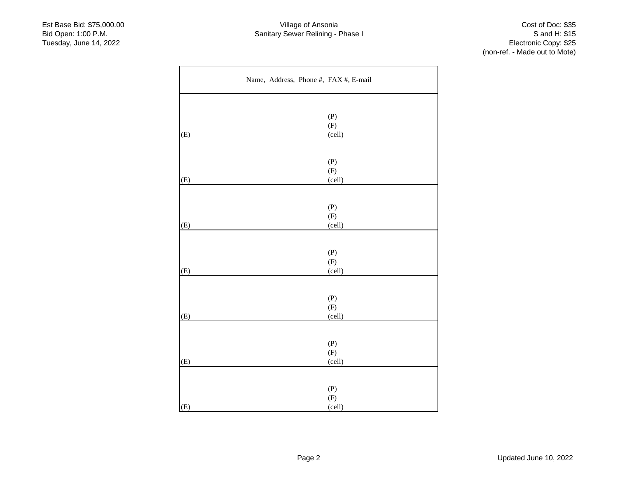Г

 $\overline{\phantom{0}}$ 

|     | Name, Address, Phone #, FAX #, E-mail |  |
|-----|---------------------------------------|--|
|     |                                       |  |
|     | (P)                                   |  |
|     | (F)                                   |  |
| (E) | (cell)                                |  |
|     |                                       |  |
|     | (P)                                   |  |
|     | (F)                                   |  |
| (E) | (cell)                                |  |
|     |                                       |  |
|     | (P)                                   |  |
|     | $\left( \mathrm{F}\right)$            |  |
| (E) | (cell)                                |  |
|     |                                       |  |
|     | (P)                                   |  |
|     | (F)                                   |  |
| (E) | (cell)                                |  |
|     |                                       |  |
|     | (P)                                   |  |
|     | (F)                                   |  |
| (E) | (cell)                                |  |
|     |                                       |  |
|     | (P)                                   |  |
|     | (F)                                   |  |
| (E) | (cell)                                |  |
|     |                                       |  |
|     | (P)                                   |  |
|     | (F)                                   |  |
| (E) | (cell)                                |  |